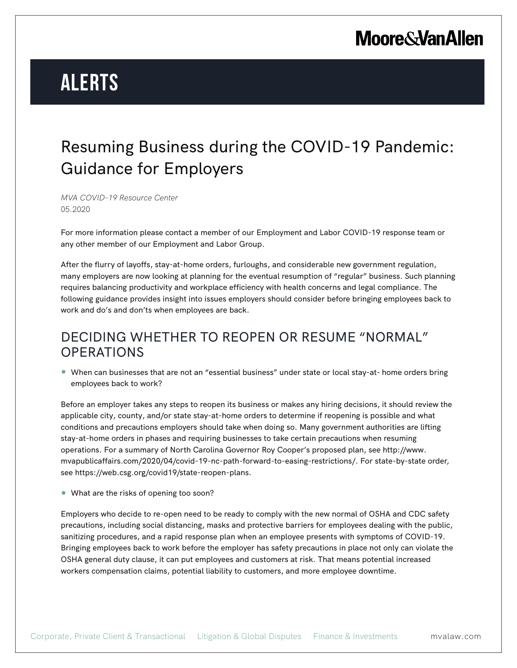# **Alerts**

### Resuming Business during the COVID-19 Pandemic: Guidance for Employers

*MVA COVID-19 Resource Center* 05.2020

For more information please contact a member of our Employment and Labor COVID-19 response team or any other member of our Employment and Labor Group.

After the flurry of layoffs, stay-at-home orders, furloughs, and considerable new government regulation, many employers are now looking at planning for the eventual resumption of "regular" business. Such planning requires balancing productivity and workplace efficiency with health concerns and legal compliance. The following guidance provides insight into issues employers should consider before bringing employees back to work and do's and don'ts when employees are back.

### DECIDING WHETHER TO REOPEN OR RESUME "NORMAL" **OPERATIONS**

● When can businesses that are not an "essential business" under state or local stay-at- home orders bring employees back to work?

Before an employer takes any steps to reopen its business or makes any hiring decisions, it should review the applicable city, county, and/or state stay-at-home orders to determine if reopening is possible and what conditions and precautions employers should take when doing so. Many government authorities are lifting stay-at-home orders in phases and requiring businesses to take certain precautions when resuming operations. For a summary of North Carolina Governor Roy Cooper's proposed plan, see http://www. mvapublicaffairs.com/2020/04/covid-19-nc-path-forward-to-easing-restrictions/. For state-by-state order, see https://web.csg.org/covid19/state-reopen-plans.

● What are the risks of opening too soon?

Employers who decide to re-open need to be ready to comply with the new normal of OSHA and CDC safety precautions, including social distancing, masks and protective barriers for employees dealing with the public, sanitizing procedures, and a rapid response plan when an employee presents with symptoms of COVID-19. Bringing employees back to work before the employer has safety precautions in place not only can violate the OSHA general duty clause, it can put employees and customers at risk. That means potential increased workers compensation claims, potential liability to customers, and more employee downtime.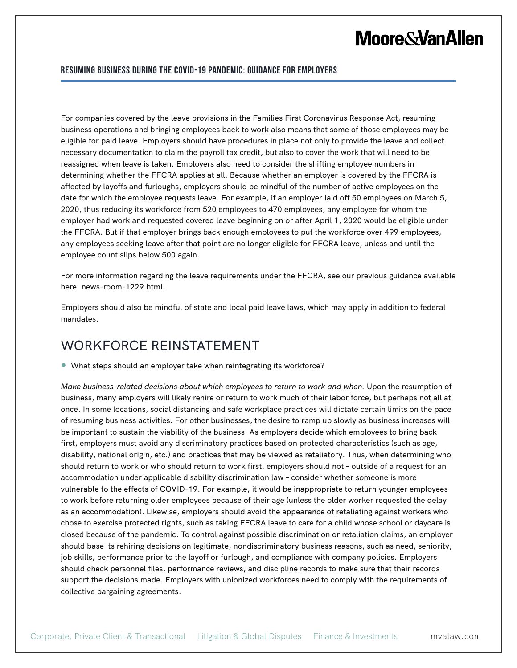#### **Resuming Business during the COVID-19 Pandemic: Guidance for Employers**

For companies covered by the leave provisions in the Families First Coronavirus Response Act, resuming business operations and bringing employees back to work also means that some of those employees may be eligible for paid leave. Employers should have procedures in place not only to provide the leave and collect necessary documentation to claim the payroll tax credit, but also to cover the work that will need to be reassigned when leave is taken. Employers also need to consider the shifting employee numbers in determining whether the FFCRA applies at all. Because whether an employer is covered by the FFCRA is affected by layoffs and furloughs, employers should be mindful of the number of active employees on the date for which the employee requests leave. For example, if an employer laid off 50 employees on March 5, 2020, thus reducing its workforce from 520 employees to 470 employees, any employee for whom the employer had work and requested covered leave beginning on or after April 1, 2020 would be eligible under the FFCRA. But if that employer brings back enough employees to put the workforce over 499 employees, any employees seeking leave after that point are no longer eligible for FFCRA leave, unless and until the employee count slips below 500 again.

For more information regarding the leave requirements under the FFCRA, see our previous guidance available here: news-room-1229.html.

Employers should also be mindful of state and local paid leave laws, which may apply in addition to federal mandates.

### WORKFORCE REINSTATEMENT

● What steps should an employer take when reintegrating its workforce?

*Make business-related decisions about which employees to return to work and when.* Upon the resumption of business, many employers will likely rehire or return to work much of their labor force, but perhaps not all at once. In some locations, social distancing and safe workplace practices will dictate certain limits on the pace of resuming business activities. For other businesses, the desire to ramp up slowly as business increases will be important to sustain the viability of the business. As employers decide which employees to bring back first, employers must avoid any discriminatory practices based on protected characteristics (such as age, disability, national origin, etc.) and practices that may be viewed as retaliatory. Thus, when determining who should return to work or who should return to work first, employers should not – outside of a request for an accommodation under applicable disability discrimination law – consider whether someone is more vulnerable to the effects of COVID-19. For example, it would be inappropriate to return younger employees to work before returning older employees because of their age (unless the older worker requested the delay as an accommodation). Likewise, employers should avoid the appearance of retaliating against workers who chose to exercise protected rights, such as taking FFCRA leave to care for a child whose school or daycare is closed because of the pandemic. To control against possible discrimination or retaliation claims, an employer should base its rehiring decisions on legitimate, nondiscriminatory business reasons, such as need, seniority, job skills, performance prior to the layoff or furlough, and compliance with company policies. Employers should check personnel files, performance reviews, and discipline records to make sure that their records support the decisions made. Employers with unionized workforces need to comply with the requirements of collective bargaining agreements.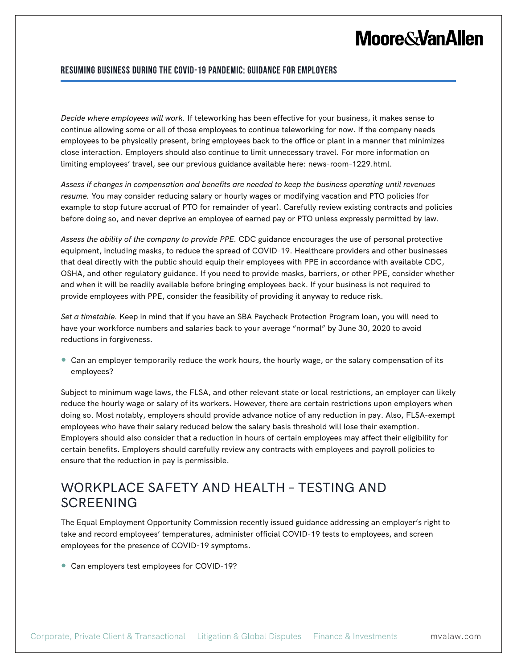#### **Resuming Business during the COVID-19 Pandemic: Guidance for Employers**

*Decide where employees will work.* If teleworking has been effective for your business, it makes sense to continue allowing some or all of those employees to continue teleworking for now. If the company needs employees to be physically present, bring employees back to the office or plant in a manner that minimizes close interaction. Employers should also continue to limit unnecessary travel. For more information on limiting employees' travel, see our previous guidance available here: news-room-1229.html.

*Assess if changes in compensation and benefits are needed to keep the business operating until revenues resume.* You may consider reducing salary or hourly wages or modifying vacation and PTO policies (for example to stop future accrual of PTO for remainder of year). Carefully review existing contracts and policies before doing so, and never deprive an employee of earned pay or PTO unless expressly permitted by law.

*Assess the ability of the company to provide PPE.* CDC guidance encourages the use of personal protective equipment, including masks, to reduce the spread of COVID-19. Healthcare providers and other businesses that deal directly with the public should equip their employees with PPE in accordance with available CDC, OSHA, and other regulatory guidance. If you need to provide masks, barriers, or other PPE, consider whether and when it will be readily available before bringing employees back. If your business is not required to provide employees with PPE, consider the feasibility of providing it anyway to reduce risk.

*Set a timetable.* Keep in mind that if you have an SBA Paycheck Protection Program loan, you will need to have your workforce numbers and salaries back to your average "normal" by June 30, 2020 to avoid reductions in forgiveness.

● Can an employer temporarily reduce the work hours, the hourly wage, or the salary compensation of its employees?

Subject to minimum wage laws, the FLSA, and other relevant state or local restrictions, an employer can likely reduce the hourly wage or salary of its workers. However, there are certain restrictions upon employers when doing so. Most notably, employers should provide advance notice of any reduction in pay. Also, FLSA-exempt employees who have their salary reduced below the salary basis threshold will lose their exemption. Employers should also consider that a reduction in hours of certain employees may affect their eligibility for certain benefits. Employers should carefully review any contracts with employees and payroll policies to ensure that the reduction in pay is permissible.

### WORKPLACE SAFETY AND HEALTH – TESTING AND **SCREENING**

The Equal Employment Opportunity Commission recently issued guidance addressing an employer's right to take and record employees' temperatures, administer official COVID-19 tests to employees, and screen employees for the presence of COVID-19 symptoms.

● Can employers test employees for COVID-19?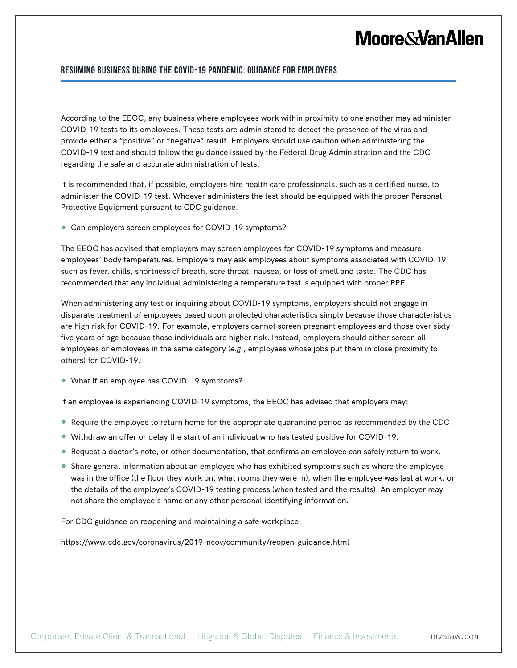#### **Resuming Business during the COVID-19 Pandemic: Guidance for Employers**

According to the EEOC, any business where employees work within proximity to one another may administer COVID-19 tests to its employees. These tests are administered to detect the presence of the virus and provide either a "positive" or "negative" result. Employers should use caution when administering the COVID-19 test and should follow the guidance issued by the Federal Drug Administration and the CDC regarding the safe and accurate administration of tests.

It is recommended that, if possible, employers hire health care professionals, such as a certified nurse, to administer the COVID-19 test. Whoever administers the test should be equipped with the proper Personal Protective Equipment pursuant to CDC guidance.

● Can employers screen employees for COVID-19 symptoms?

The EEOC has advised that employers may screen employees for COVID-19 symptoms and measure employees' body temperatures. Employers may ask employees about symptoms associated with COVID-19 such as fever, chills, shortness of breath, sore throat, nausea, or loss of smell and taste. The CDC has recommended that any individual administering a temperature test is equipped with proper PPE.

When administering any test or inquiring about COVID-19 symptoms, employers should not engage in disparate treatment of employees based upon protected characteristics simply because those characteristics are high risk for COVID-19. For example, employers cannot screen pregnant employees and those over sixtyfive years of age because those individuals are higher risk. Instead, employers should either screen all employees or employees in the same category (*e.g.*, employees whose jobs put them in close proximity to others) for COVID-19.

● What if an employee has COVID-19 symptoms?

If an employee is experiencing COVID-19 symptoms, the EEOC has advised that employers may:

- Require the employee to return home for the appropriate quarantine period as recommended by the CDC.
- Withdraw an offer or delay the start of an individual who has tested positive for COVID-19.
- Request a doctor's note, or other documentation, that confirms an employee can safely return to work.
- Share general information about an employee who has exhibited symptoms such as where the employee was in the office (the floor they work on, what rooms they were in), when the employee was last at work, or the details of the employee's COVID-19 testing process (when tested and the results). An employer may not share the employee's name or any other personal identifying information.

For CDC guidance on reopening and maintaining a safe workplace:

https://www.cdc.gov/coronavirus/2019-ncov/community/reopen-guidance.html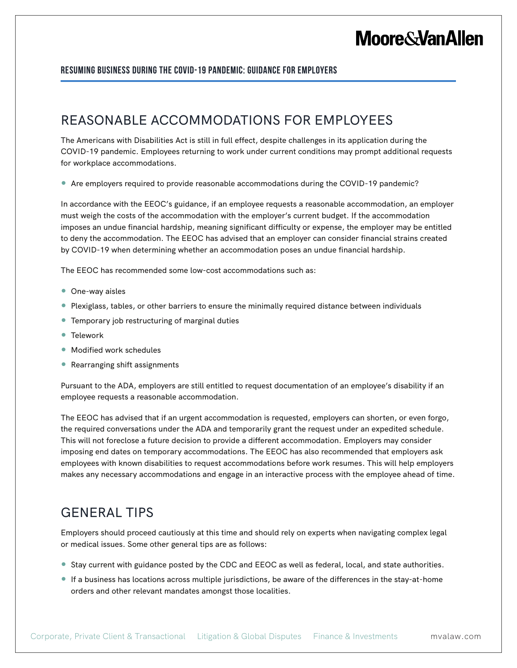#### **Resuming Business during the COVID-19 Pandemic: Guidance for Employers**

### REASONABLE ACCOMMODATIONS FOR EMPLOYEES

The Americans with Disabilities Act is still in full effect, despite challenges in its application during the COVID-19 pandemic. Employees returning to work under current conditions may prompt additional requests for workplace accommodations.

● Are employers required to provide reasonable accommodations during the COVID-19 pandemic?

In accordance with the EEOC's guidance, if an employee requests a reasonable accommodation, an employer must weigh the costs of the accommodation with the employer's current budget. If the accommodation imposes an undue financial hardship, meaning significant difficulty or expense, the employer may be entitled to deny the accommodation. The EEOC has advised that an employer can consider financial strains created by COVID-19 when determining whether an accommodation poses an undue financial hardship.

The EEOC has recommended some low-cost accommodations such as:

- One-way aisles
- Plexiglass, tables, or other barriers to ensure the minimally required distance between individuals
- Temporary job restructuring of marginal duties
- Telework
- Modified work schedules
- Rearranging shift assignments

Pursuant to the ADA, employers are still entitled to request documentation of an employee's disability if an employee requests a reasonable accommodation.

The EEOC has advised that if an urgent accommodation is requested, employers can shorten, or even forgo, the required conversations under the ADA and temporarily grant the request under an expedited schedule. This will not foreclose a future decision to provide a different accommodation. Employers may consider imposing end dates on temporary accommodations. The EEOC has also recommended that employers ask employees with known disabilities to request accommodations before work resumes. This will help employers makes any necessary accommodations and engage in an interactive process with the employee ahead of time.

### GENERAL TIPS

Employers should proceed cautiously at this time and should rely on experts when navigating complex legal or medical issues. Some other general tips are as follows:

- Stay current with guidance posted by the CDC and EEOC as well as federal, local, and state authorities.
- If a business has locations across multiple jurisdictions, be aware of the differences in the stay-at-home orders and other relevant mandates amongst those localities.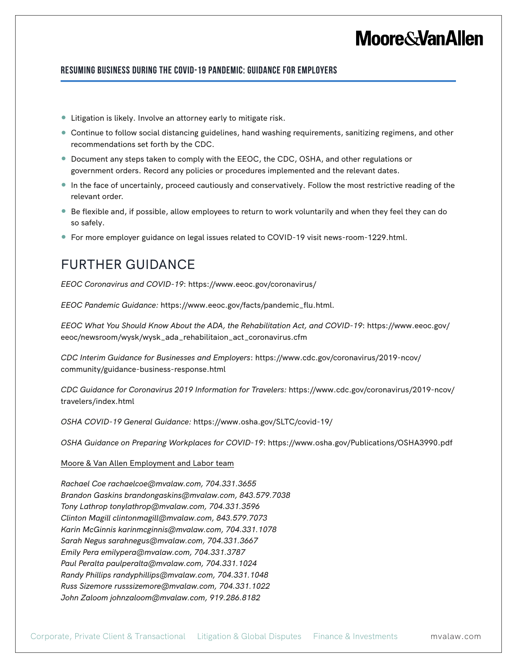#### **Resuming Business during the COVID-19 Pandemic: Guidance for Employers**

- Litigation is likely. Involve an attorney early to mitigate risk.
- Continue to follow social distancing guidelines, hand washing requirements, sanitizing regimens, and other recommendations set forth by the CDC.
- Document any steps taken to comply with the EEOC, the CDC, OSHA, and other regulations or government orders. Record any policies or procedures implemented and the relevant dates.
- In the face of uncertainly, proceed cautiously and conservatively. Follow the most restrictive reading of the relevant order.
- Be flexible and, if possible, allow employees to return to work voluntarily and when they feel they can do so safely.
- For more employer guidance on legal issues related to COVID-19 visit news-room-1229.html.

### FURTHER GUIDANCE

*EEOC Coronavirus and COVID-19*: https://www.eeoc.gov/coronavirus/

*EEOC Pandemic Guidance:* https://www.eeoc.gov/facts/pandemic\_flu.html.

*EEOC What You Should Know About the ADA, the Rehabilitation Act, and COVID-19*: https://www.eeoc.gov/ eeoc/newsroom/wysk/wysk\_ada\_rehabilitaion\_act\_coronavirus.cfm

*CDC Interim Guidance for Businesses and Employers*: https://www.cdc.gov/coronavirus/2019-ncov/ community/guidance-business-response.html

*CDC Guidance for Coronavirus 2019 Information for Travelers:* https://www.cdc.gov/coronavirus/2019-ncov/ travelers/index.html

*OSHA COVID-19 General Guidance:* https://www.osha.gov/SLTC/covid-19/

*OSHA Guidance on Preparing Workplaces for COVID-19*: https://www.osha.gov/Publications/OSHA3990.pdf

#### Moore & Van Allen Employment and Labor team

*Rachael Coe rachaelcoe@mvalaw.com, 704.331.3655 Brandon Gaskins brandongaskins@mvalaw.com, 843.579.7038 Tony Lathrop tonylathrop@mvalaw.com, 704.331.3596 Clinton Magill clintonmagill@mvalaw.com, 843.579.7073 Karin McGinnis karinmcginnis@mvalaw.com, 704.331.1078 Sarah Negus sarahnegus@mvalaw.com, 704.331.3667 Emily Pera emilypera@mvalaw.com, 704.331.3787 Paul Peralta paulperalta@mvalaw.com, 704.331.1024 Randy Phillips randyphillips@mvalaw.com, 704.331.1048 Russ Sizemore russsizemore@mvalaw.com, 704.331.1022 John Zaloom johnzaloom@mvalaw.com, 919.286.8182*